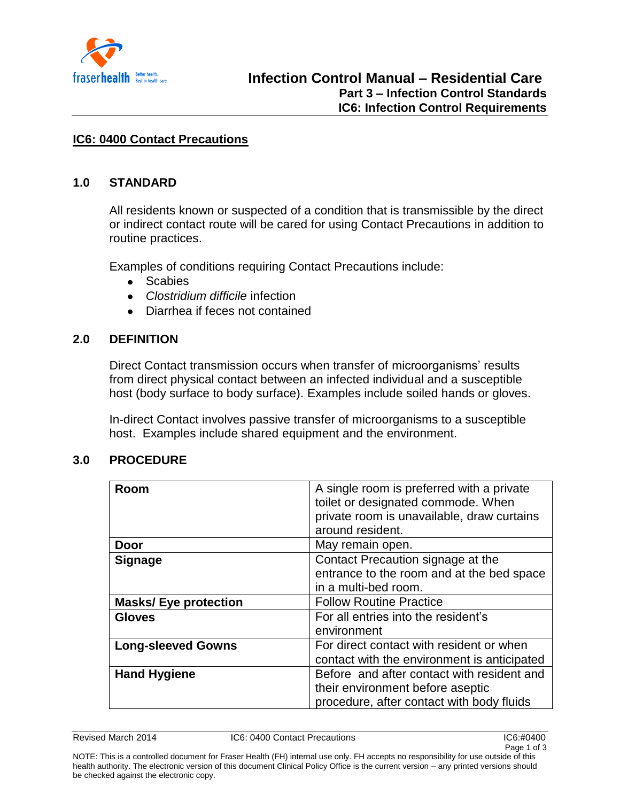

#### **IC6: 0400 Contact Precautions**

#### **1.0 STANDARD**

All residents known or suspected of a condition that is transmissible by the direct or indirect contact route will be cared for using Contact Precautions in addition to routine practices.

Examples of conditions requiring Contact Precautions include:

- Scabies  $\bullet$
- *Clostridium difficile* infection  $\bullet$
- Diarrhea if feces not contained  $\bullet$

# **2.0 DEFINITION**

Direct Contact transmission occurs when transfer of microorganisms' results from direct physical contact between an infected individual and a susceptible host (body surface to body surface). Examples include soiled hands or gloves.

In-direct Contact involves passive transfer of microorganisms to a susceptible host. Examples include shared equipment and the environment.

#### **3.0 PROCEDURE**

| Room                        | A single room is preferred with a private<br>toilet or designated commode. When<br>private room is unavailable, draw curtains<br>around resident. |
|-----------------------------|---------------------------------------------------------------------------------------------------------------------------------------------------|
| <b>Door</b>                 | May remain open.                                                                                                                                  |
| <b>Signage</b>              | Contact Precaution signage at the                                                                                                                 |
|                             | entrance to the room and at the bed space                                                                                                         |
|                             | in a multi-bed room.                                                                                                                              |
| <b>Masks/Eye protection</b> | <b>Follow Routine Practice</b>                                                                                                                    |
| <b>Gloves</b>               | For all entries into the resident's                                                                                                               |
|                             | environment                                                                                                                                       |
| <b>Long-sleeved Gowns</b>   | For direct contact with resident or when<br>contact with the environment is anticipated                                                           |
| <b>Hand Hygiene</b>         | Before and after contact with resident and                                                                                                        |
|                             | their environment before aseptic                                                                                                                  |
|                             | procedure, after contact with body fluids                                                                                                         |

Revised March 2014 IC6: 0400 Contact Precautions IC6:#0400

NOTE: This is a controlled document for Fraser Health (FH) internal use only. FH accepts no responsibility for use outside of this health authority. The electronic version of this document Clinical Policy Office is the current version – any printed versions should be checked against the electronic copy.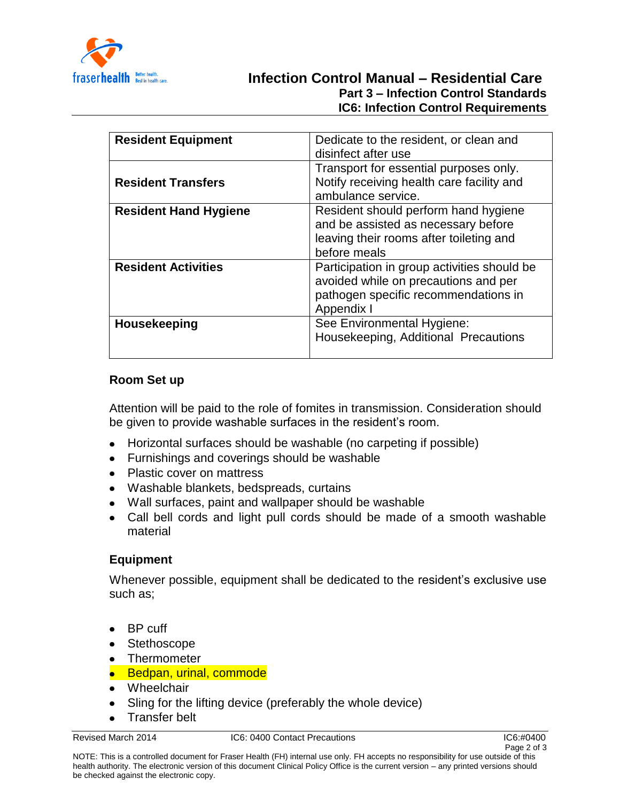

# **Infection Control Manual – Residential Care Part 3 – Infection Control Standards IC6: Infection Control Requirements**

| <b>Resident Equipment</b>    | Dedicate to the resident, or clean and<br>disinfect after use                                                                             |
|------------------------------|-------------------------------------------------------------------------------------------------------------------------------------------|
| <b>Resident Transfers</b>    | Transport for essential purposes only.<br>Notify receiving health care facility and<br>ambulance service.                                 |
| <b>Resident Hand Hygiene</b> | Resident should perform hand hygiene<br>and be assisted as necessary before<br>leaving their rooms after toileting and<br>before meals    |
| <b>Resident Activities</b>   | Participation in group activities should be<br>avoided while on precautions and per<br>pathogen specific recommendations in<br>Appendix I |
| <b>Housekeeping</b>          | See Environmental Hygiene:<br>Housekeeping, Additional Precautions                                                                        |

# **Room Set up**

Attention will be paid to the role of fomites in transmission. Consideration should be given to provide washable surfaces in the resident's room.

- Horizontal surfaces should be washable (no carpeting if possible)
- Furnishings and coverings should be washable
- Plastic cover on mattress
- Washable blankets, bedspreads, curtains
- Wall surfaces, paint and wallpaper should be washable
- Call bell cords and light pull cords should be made of a smooth washable material

# **Equipment**

Whenever possible, equipment shall be dedicated to the resident's exclusive use such as;

- BP cuff
- Stethoscope
- Thermometer
- Bedpan, urinal, commode
- Wheelchair
- Sling for the lifting device (preferably the whole device)  $\bullet$
- Transfer belt

Revised March 2014 IC6: 0400 Contact Precautions IC6:#0400